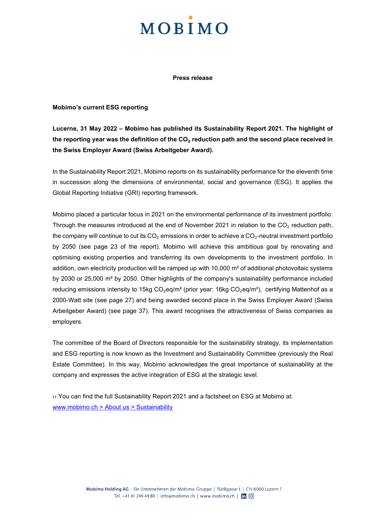## **MOBIMO**

**Press release**

#### **Mobimo's current ESG reporting**

**Lucerne, 31 May 2022 – Mobimo has published its Sustainability Report 2021. The highlight of the reporting year was the definition of the CO**₂ **reduction path and the second place received in the Swiss Employer Award (Swiss Arbeitgeber Award).** 

In the Sustainability Report 2021, Mobimo reports on its sustainability performance for the eleventh time in succession along the dimensions of environmental, social and governance (ESG). It applies the Global Reporting Initiative (GRI) reporting framework.

Mobimo placed a particular focus in 2021 on the environmental performance of its investment portfolio: Through the measures introduced at the end of November 2021 in relation to the CO<sub>2</sub> reduction path, the company will continue to cut its  $CO<sub>2</sub>$  emissions in order to achieve a  $CO<sub>2</sub>$ -neutral investment portfolio by 2050 (see page 23 of the report). Mobimo will achieve this ambitious goal by renovating and optimising existing properties and transferring its own developments to the investment portfolio. In addition, own electricity production will be ramped up with 10,000 m<sup>2</sup> of additional photovoltaic systems by 2030 or 25,000 m² by 2050. Other highlights of the company's sustainability performance included reducing emissions intensity to 15kg  $CO_2$ eg/m<sup>2</sup> (prior year: 16kg  $CO_2$ eg/m<sup>2</sup>), certifying Mattenhof as a 2000-Watt site (see page 27) and being awarded second place in the Swiss Employer Award (Swiss Arbeitgeber Award) (see page 37). This award recognises the attractiveness of Swiss companies as employers.

The committee of the Board of Directors responsible for the sustainability strategy, its implementation and ESG reporting is now known as the Investment and Sustainability Committee (previously the Real Estate Committee). In this way, Mobimo acknowledges the great importance of sustainability at the company and expresses the active integration of ESG at the strategic level.

›› You can find the full Sustainability Report 2021 and a factsheet on ESG at Mobimo at: [www.mobimo.ch > About us > Sustainability](https://www.mobimo.ch/en/about-us/sustainability)